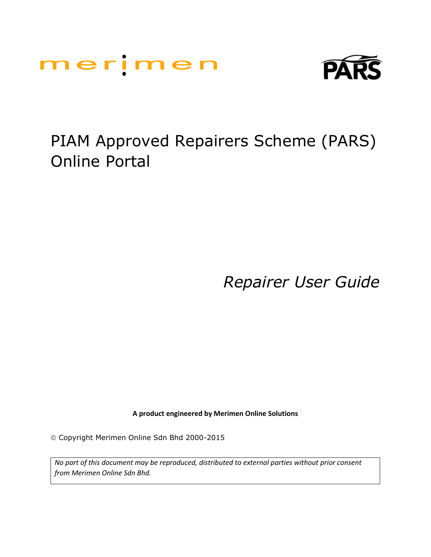



# PIAM Approved Repairers Scheme (PARS) Online Portal

*Repairer User Guide*

**A product engineered by Merimen Online Solutions**

Copyright Merimen Online Sdn Bhd 2000-2015

*No part of this document may be reproduced, distributed to external parties without prior consent from Merimen Online Sdn Bhd.*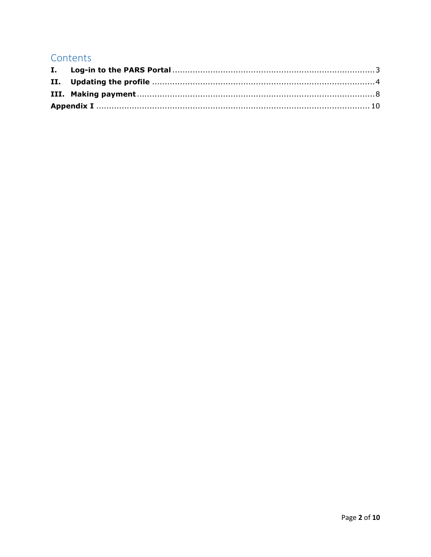## Contents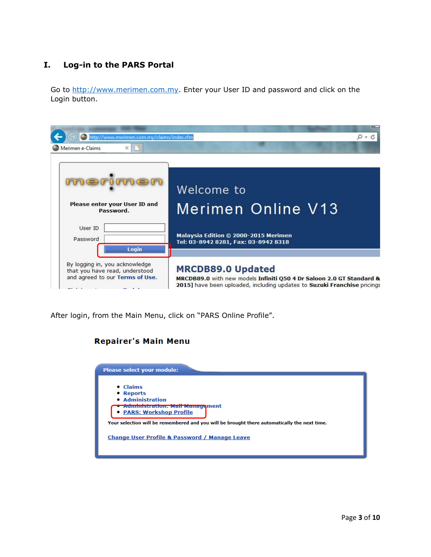## <span id="page-2-0"></span>**I. Log-in to the PARS Portal**

Go to [http://www.merimen.com.my.](http://www.merimen.com.my/) Enter your User ID and password and click on the Login button.

| http://www.merimen.com.my/claims/index.cfm                                                                   |                                                                                                                                                                              |
|--------------------------------------------------------------------------------------------------------------|------------------------------------------------------------------------------------------------------------------------------------------------------------------------------|
| $\times$<br>Merimen e-Claims                                                                                 |                                                                                                                                                                              |
| Please enter your User ID and                                                                                | Welcome to<br><b>Merimen Online V13</b>                                                                                                                                      |
| Password.                                                                                                    |                                                                                                                                                                              |
| User ID<br>Password                                                                                          | Malaysia Edition © 2000-2015 Merimen<br>Tel: 03-8942 8281, Fax: 03-8942 8318                                                                                                 |
| Login<br>By logging in, you acknowledge<br>that you have read, understood<br>and agreed to our Terms of Use. | <b>MRCDB89.0 Updated</b><br>MRCDB89.0 with new models Infiniti Q50 4 Dr Saloon 2.0 GT Standard &<br>2015] have been uploaded, including updates to Suzuki Franchise pricings |

After login, from the Main Menu, click on "PARS Online Profile".

## **Repairer's Main Menu**

| Please select your module:                                                                   |
|----------------------------------------------------------------------------------------------|
| $\bullet$ Claims                                                                             |
| • Reports                                                                                    |
| • Administration                                                                             |
| <b>Aummou ation.</b> Mail Management<br>• PARS: Workshop Profile                             |
| Your selection will be remembered and you will be brought there automatically the next time. |
| <b>Change User Profile &amp; Password / Manage Leave</b>                                     |
|                                                                                              |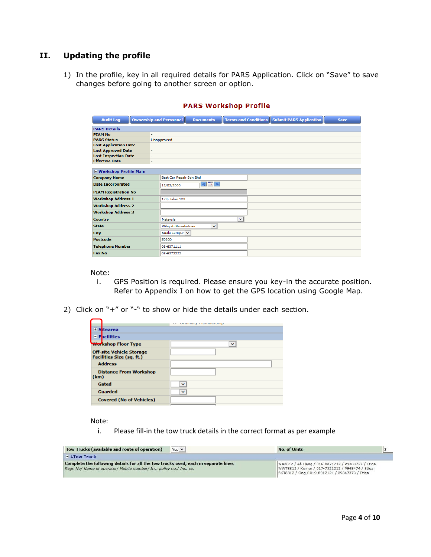## <span id="page-3-0"></span>**II. Updating the profile**

1) In the profile, key in all required details for PARS Application. Click on "Save" to save changes before going to another screen or option.

| <b>Audit Log</b>             | <b>Ownership and Personnel</b><br><b>Terms and Conditions</b><br><b>Submit PARS Application</b><br><b>Documents</b><br><b>Save</b> |
|------------------------------|------------------------------------------------------------------------------------------------------------------------------------|
| <b>PARS Details</b>          |                                                                                                                                    |
| <b>PIAM No</b>               |                                                                                                                                    |
| <b>PARS Status</b>           | Unapproved                                                                                                                         |
| <b>Last Application Date</b> | ÷                                                                                                                                  |
| <b>Last Approved Date</b>    | ٠                                                                                                                                  |
| <b>Last Inspection Date</b>  | ÷                                                                                                                                  |
| <b>Effective Date</b>        | ٠                                                                                                                                  |
|                              |                                                                                                                                    |
| □ Workshop Profile Main      |                                                                                                                                    |
| <b>Company Name</b>          | Best Car Repair Sdn Bhd                                                                                                            |
| <b>Date Incorporated</b>     | 12/02/2000                                                                                                                         |
| <b>PIAM Registration No</b>  |                                                                                                                                    |
| <b>Workshop Address 1</b>    | 123. Jalan 123                                                                                                                     |
| <b>Workshop Address 2</b>    |                                                                                                                                    |
| <b>Workshop Address 3</b>    |                                                                                                                                    |
| <b>Country</b>               | $\checkmark$<br>Malaysia                                                                                                           |
| <b>State</b>                 | Wilayah Persekutuan<br>$\checkmark$                                                                                                |
| <b>City</b>                  | Kuala Lumpur V                                                                                                                     |
| <b>Postcode</b>              | 50300                                                                                                                              |
| <b>Telephone Number</b>      | 03-6371111                                                                                                                         |
| <b>Fax No</b>                | 03-6372222                                                                                                                         |

#### **PARS Workshop Profile**

Note:

- i. GPS Position is required. Please ensure you key-in the accurate position. Refer to Appendix I on how to get the GPS location using Google Map.
- 2) Click on "+" or "-" to show or hide the details under each section.

| □ Sitearea                                                   |              |
|--------------------------------------------------------------|--------------|
| $\blacksquare$ Facilities                                    |              |
| <b>Wor</b> kshop Floor Type                                  | $\checkmark$ |
| <b>Off-site Vehicle Storage</b><br>Facilities Size (sq. ft.) |              |
| <b>Address</b>                                               |              |
| <b>Distance From Workshop</b><br>(km)                        |              |
| Gated                                                        | $\checkmark$ |
| Guarded                                                      | $\checkmark$ |
| <b>Covered (No of Vehicles)</b>                              |              |

Note:

i. Please fill-in the tow truck details in the correct format as per example

| Tow Trucks (available and route of operation)                                                                                                             | $Yes \vee$ | No. of Units                                                                                                                                           |  |
|-----------------------------------------------------------------------------------------------------------------------------------------------------------|------------|--------------------------------------------------------------------------------------------------------------------------------------------------------|--|
| $\Box$ LTow Truck                                                                                                                                         |            |                                                                                                                                                        |  |
| Complete the following details for all the tow trucks used, each in separate lines<br>Rean No/ Name of operator/ Mobile number/ Ins. policy no./ Ins. co. |            | WA8812 / Ah Heng / 016-8871212 / P9383727 / Etiga<br>WWT8812 / Kumar / 017-7521212 / P948474 / Etiga<br>BKT8812 / Ong / 019-8912121 / P9847373 / Etiga |  |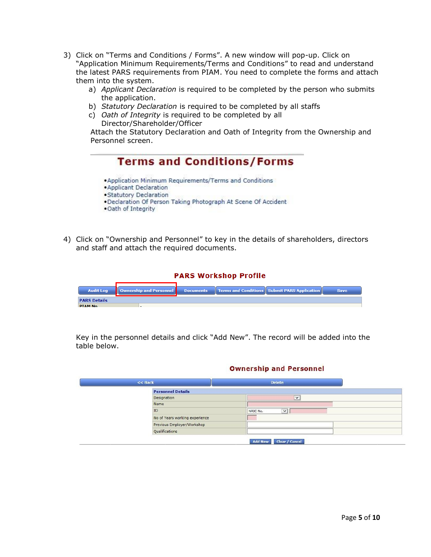- 3) Click on "Terms and Conditions / Forms". A new window will pop-up. Click on "Application Minimum Requirements/Terms and Conditions" to read and understand the latest PARS requirements from PIAM. You need to complete the forms and attach them into the system.
	- a) *Applicant Declaration* is required to be completed by the person who submits the application.
	- b) *Statutory Declaration* is required to be completed by all staffs
	- c) *Oath of Integrity* is required to be completed by all Director/Shareholder/Officer

Attach the Statutory Declaration and Oath of Integrity from the Ownership and Personnel screen.

|                                                | . Application Minimum Requirements/Terms and Conditions        |  |
|------------------------------------------------|----------------------------------------------------------------|--|
| · Applicant Declaration                        |                                                                |  |
| . Statutory Declaration<br>. Oath of Integrity | . Declaration Of Person Taking Photograph At Scene Of Accident |  |

4) Click on "Ownership and Personnel" to key in the details of shareholders, directors and staff and attach the required documents.

|                     |                         |                  | <b>PARS Workshop Profile</b> |                                                |             |
|---------------------|-------------------------|------------------|------------------------------|------------------------------------------------|-------------|
| <b>Audit Log</b>    | Ownership and Personnel | <b>Documents</b> |                              | Terms and Conditions   Submit PARS Application | <b>Save</b> |
| <b>PARS Details</b> |                         |                  |                              |                                                |             |
| <b>PTAM No</b>      | -                       |                  |                              |                                                |             |

Key in the personnel details and click "Add New". The record will be added into the table below.

#### **Ownership and Personnel**

| <b>Personnel Details</b>       |                          |
|--------------------------------|--------------------------|
| Designation                    | $\check{~}$              |
| Name                           |                          |
| ID                             | $\checkmark$<br>NRIC No. |
| No of Years working experience |                          |
| Previous Employer/Workshop     |                          |
| Qualifications                 |                          |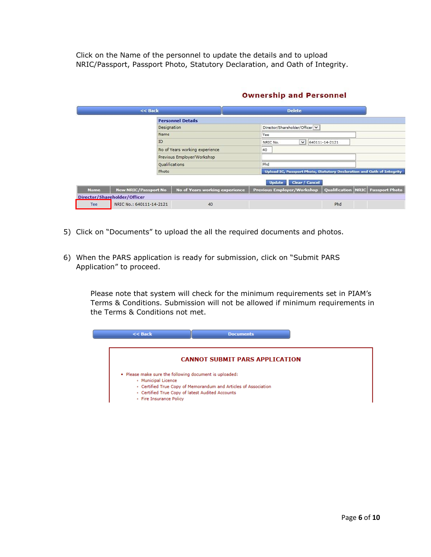Click on the Name of the personnel to update the details and to upload NRIC/Passport, Passport Photo, Statutory Declaration, and Oath of Integrity.

|             | $<<$ Back                    |                                | <b>Delete</b>                     |                                                                        |
|-------------|------------------------------|--------------------------------|-----------------------------------|------------------------------------------------------------------------|
|             |                              | <b>Personnel Details</b>       |                                   |                                                                        |
|             | Designation                  |                                | Director/Shareholder/Officer V    |                                                                        |
|             | Name                         |                                | Tee                               |                                                                        |
|             | ID                           |                                | $\vee$ 640111-14-2121<br>NRIC No. |                                                                        |
|             |                              | No of Years working experience | 40                                |                                                                        |
|             |                              | Previous Employer/Workshop     |                                   |                                                                        |
|             | <b>Qualifications</b>        |                                | Phd                               |                                                                        |
|             | Photo                        |                                |                                   | Upload IC, Passport Photo, Statutory Declaration and Oath of Integrity |
|             |                              |                                | Clear / Cancel<br><b>Update</b>   |                                                                        |
| <b>Name</b> | <b>New NRIC/Passport No</b>  | No of Years working experience | <b>Previous Employer/Workshop</b> | Qualification   NRIC   Passport Photo                                  |
|             | Director/Shareholder/Officer |                                |                                   |                                                                        |
| Tee         | NRIC No.: 640111-14-2121     | 40                             |                                   | Phd                                                                    |

#### **Ownership and Personnel**

- 5) Click on "Documents" to upload the all the required documents and photos.
- 6) When the PARS application is ready for submission, click on "Submit PARS Application" to proceed.

Please note that system will check for the minimum requirements set in PIAM's Terms & Conditions. Submission will not be allowed if minimum requirements in the Terms & Conditions not met.

| $<<$ Back<br><b>Documents</b>                                   |
|-----------------------------------------------------------------|
|                                                                 |
| <b>CANNOT SUBMIT PARS APPLICATION</b>                           |
| . Please make sure the following document is uploaded:          |
| • Municipal Licence                                             |
| . Certified True Copy of Memorandum and Articles of Association |
| · Certified True Copy of latest Audited Accounts                |
| · Fire Insurance Policy                                         |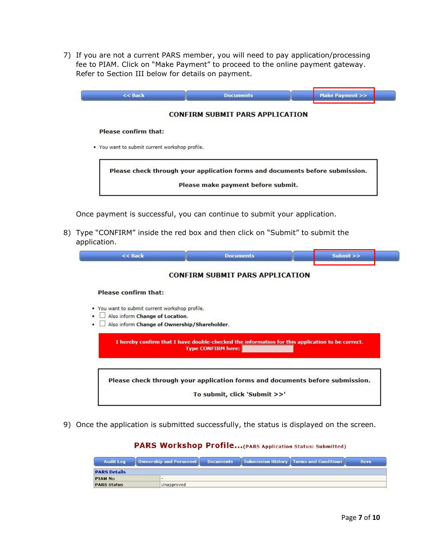7) If you are not a current PARS member, you will need to pay application/processing fee to PIAM. Click on "Make Payment" to proceed to the online payment gateway. Refer to Section III below for details on payment.

| $<<$ Back                                      | <b>Documents</b>                                                             | Make Payment >> |
|------------------------------------------------|------------------------------------------------------------------------------|-----------------|
|                                                | <b>CONFIRM SUBMIT PARS APPLICATION</b>                                       |                 |
| <b>Please confirm that:</b>                    |                                                                              |                 |
| . You want to submit current workshop profile. |                                                                              |                 |
|                                                |                                                                              |                 |
|                                                | Please check through your application forms and documents before submission. |                 |
|                                                |                                                                              |                 |

Once payment is successful, you can continue to submit your application.

8) Type "CONFIRM" inside the red box and then click on "Submit" to submit the application.

|                                                | <b>CONFIRM SUBMIT PARS APPLICATION</b>                                                                                       |  |
|------------------------------------------------|------------------------------------------------------------------------------------------------------------------------------|--|
| <b>Please confirm that:</b>                    |                                                                                                                              |  |
| • You want to submit current workshop profile. |                                                                                                                              |  |
| Also inform Change of Location.                |                                                                                                                              |  |
| Also inform Change of Ownership/Shareholder.   |                                                                                                                              |  |
|                                                |                                                                                                                              |  |
|                                                | I hereby confirm that I have double-checked the information for this application to be correct.<br><b>Type CONFIRM here:</b> |  |
|                                                | Please check through your application forms and documents before submission.                                                 |  |

9) Once the application is submitted successfully, the status is displayed on the screen.

### PARS Workshop Profile...(PARS Application Status: Submitted)

| <b>Audit Log</b>    | Ownership and Personnel | <b>Documents</b> | Submission History   Terms and Conditions | <b>Save</b> |
|---------------------|-------------------------|------------------|-------------------------------------------|-------------|
| <b>PARS Details</b> |                         |                  |                                           |             |
| <b>PIAM No</b>      | -                       |                  |                                           |             |
| <b>PARS Status</b>  | Unapproved              |                  |                                           |             |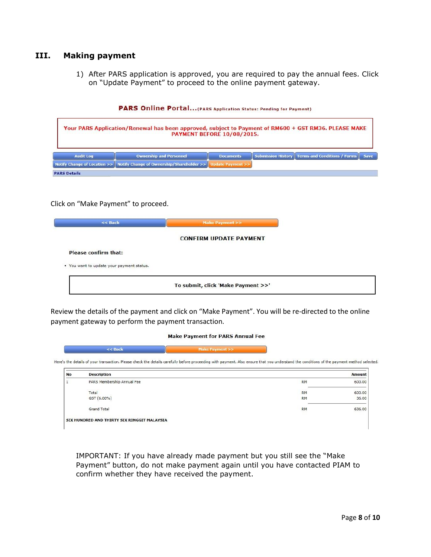#### <span id="page-7-0"></span>**III. Making payment**

1) After PARS application is approved, you are required to pay the annual fees. Click on "Update Payment" to proceed to the online payment gateway.



#### PARS Online Portal... (PARS Application Status: Pending for Payment)

Click on "Make Payment" to proceed.



Review the details of the payment and click on "Make Payment". You will be re-directed to the online payment gateway to perform the payment transaction.

#### **Make Payment for PARS Annual Fee**

 $<<$  Back Make Payment >>

Here's the details of your transaction. Please check the details carefully before proceeding with payment. Also ensure that you understand the conditions of the payment method selected.

| No | <b>Description</b>                          |           | Amount |
|----|---------------------------------------------|-----------|--------|
|    | PARS Membership Annual Fee                  | <b>RM</b> | 600.00 |
|    | Total                                       | <b>RM</b> | 600.00 |
|    | GST (6.00%)                                 | <b>RM</b> | 36.00  |
|    | Grand Total                                 | <b>RM</b> | 636.00 |
|    | SIX HUNDRED AND THIRTY SIX RINGGIT MALAYSIA | -265      |        |

IMPORTANT: If you have already made payment but you still see the "Make Payment" button, do not make payment again until you have contacted PIAM to confirm whether they have received the payment.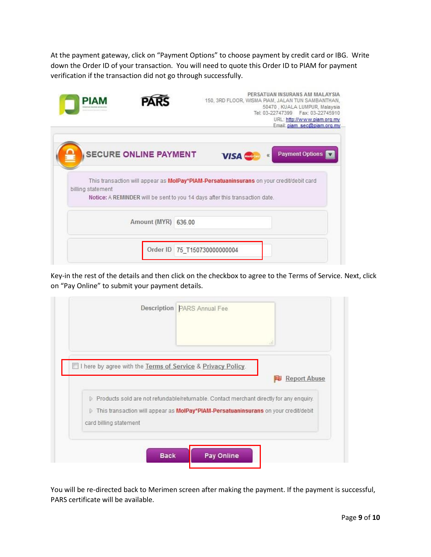At the payment gateway, click on "Payment Options" to choose payment by credit card or IBG. Write down the Order ID of your transaction. You will need to quote this Order ID to PIAM for payment verification if the transaction did not go through successfully.

| PIAM              |                              | PERSATUAN INSURANS AM MALAYSIA<br>150, 3RD FLOOR, WISMA PIAM, JALAN TUN SAMBANTHAN,<br>50470, KUALA LUMPUR, Malaysia<br>Tel: 03-22747399   Fax: 03-22745910<br>URL: http://www.piam.org.my<br>Email: piam_sec@piam.org.my |
|-------------------|------------------------------|---------------------------------------------------------------------------------------------------------------------------------------------------------------------------------------------------------------------------|
|                   | <b>SECURE ONLINE PAYMENT</b> | <b>Payment Options</b><br><b>VISA</b>                                                                                                                                                                                     |
| billing statement |                              | This transaction will appear as MolPay*PIAM-Persatuaninsurans on your credit/debit card<br>Notice: A REMINDER will be sent to you 14 days after this transaction date.                                                    |
|                   | Amount (MYR) 636.00          |                                                                                                                                                                                                                           |
|                   |                              | Order ID 75 T150730000000004                                                                                                                                                                                              |

Key-in the rest of the details and then click on the checkbox to agree to the Terms of Service. Next, click on "Pay Online" to submit your payment details.

|                        |                                                             | зł.                                                                                     |  |
|------------------------|-------------------------------------------------------------|-----------------------------------------------------------------------------------------|--|
|                        | I here by agree with the Terms of Service & Privacy Policy. |                                                                                         |  |
|                        |                                                             | <b>Report Abuse</b>                                                                     |  |
|                        |                                                             | Products sold are not refundable/returnable. Contact merchant directly for any enquiry. |  |
| Đ.                     |                                                             | This transaction will appear as MolPay*PIAM-Persatuaninsurans on your credit/debit      |  |
| card billing statement |                                                             |                                                                                         |  |

You will be re-directed back to Merimen screen after making the payment. If the payment is successful, PARS certificate will be available.